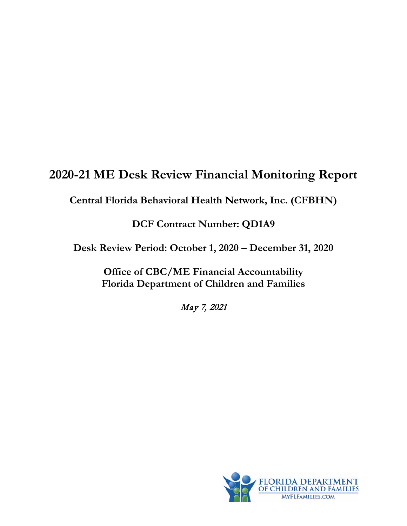## **2020-21 ME Desk Review Financial Monitoring Report**

**Central Florida Behavioral Health Network, Inc. (CFBHN)**

**DCF Contract Number: QD1A9**

**Desk Review Period: October 1, 2020 – December 31, 2020**

**Office of CBC/ME Financial Accountability Florida Department of Children and Families**

May 7, 2021

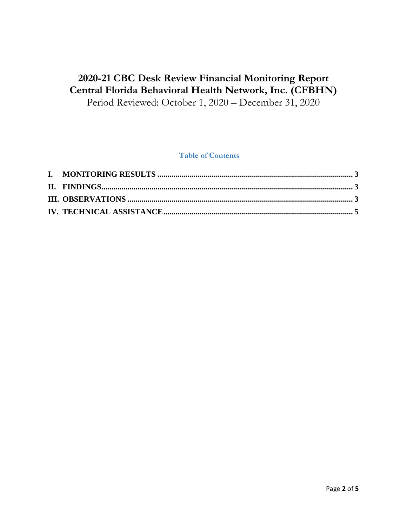# **2020-21 CBC Desk Review Financial Monitoring Report Central Florida Behavioral Health Network, Inc. (CFBHN)**

Period Reviewed: October 1, 2020 – December 31, 2020

### **Table of Contents**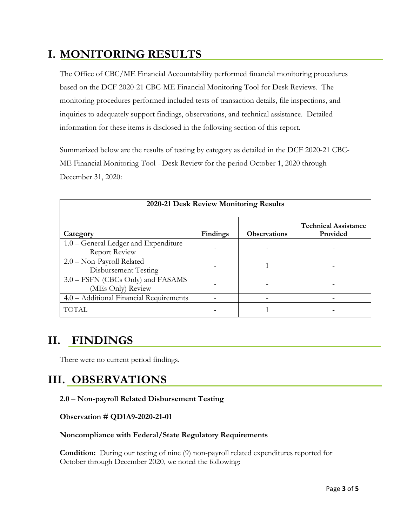## <span id="page-2-0"></span>**I. MONITORING RESULTS**

The Office of CBC/ME Financial Accountability performed financial monitoring procedures based on the DCF 2020-21 CBC-ME Financial Monitoring Tool for Desk Reviews. The monitoring procedures performed included tests of transaction details, file inspections, and inquiries to adequately support findings, observations, and technical assistance. Detailed information for these items is disclosed in the following section of this report.

Summarized below are the results of testing by category as detailed in the DCF 2020-21 CBC-ME Financial Monitoring Tool - Desk Review for the period October 1, 2020 through December 31, 2020:

| 2020-21 Desk Review Monitoring Results                       |          |                     |                                         |  |  |
|--------------------------------------------------------------|----------|---------------------|-----------------------------------------|--|--|
| Category                                                     | Findings | <b>Observations</b> | <b>Technical Assistance</b><br>Provided |  |  |
| 1.0 – General Ledger and Expenditure<br><b>Report Review</b> |          |                     |                                         |  |  |
| 2.0 - Non-Payroll Related<br>Disbursement Testing            |          |                     |                                         |  |  |
| 3.0 – FSFN (CBCs Only) and FASAMS<br>(MEs Only) Review       |          |                     |                                         |  |  |
| 4.0 - Additional Financial Requirements                      |          |                     |                                         |  |  |
| TOTAL                                                        |          |                     |                                         |  |  |

### <span id="page-2-1"></span>**II. FINDINGS**

There were no current period findings.

## <span id="page-2-2"></span>**III. OBSERVATIONS**

### **2.0 – Non-payroll Related Disbursement Testing**

### **Observation # QD1A9-2020-21-01**

#### **Noncompliance with Federal/State Regulatory Requirements**

**Condition:** During our testing of nine (9) non-payroll related expenditures reported for October through December 2020, we noted the following: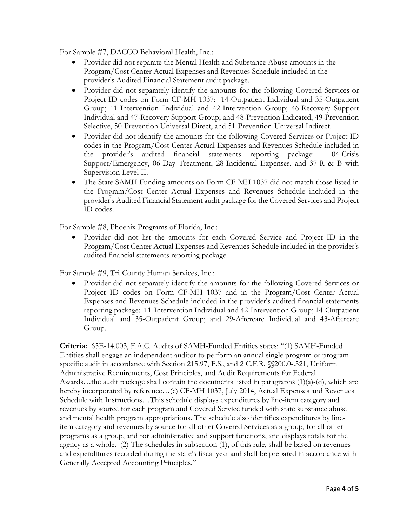For Sample #7, DACCO Behavioral Health, Inc.:

- Provider did not separate the Mental Health and Substance Abuse amounts in the Program/Cost Center Actual Expenses and Revenues Schedule included in the provider's Audited Financial Statement audit package.
- Provider did not separately identify the amounts for the following Covered Services or Project ID codes on Form CF-MH 1037: 14-Outpatient Individual and 35-Outpatient Group; 11-Intervention Individual and 42-Intervention Group; 46-Recovery Support Individual and 47-Recovery Support Group; and 48-Prevention Indicated, 49-Prevention Selective, 50-Prevention Universal Direct, and 51-Prevention-Universal Indirect.
- Provider did not identify the amounts for the following Covered Services or Project ID codes in the Program/Cost Center Actual Expenses and Revenues Schedule included in the provider's audited financial statements reporting package: 04-Crisis Support/Emergency, 06-Day Treatment, 28-Incidental Expenses, and 37-R & B with Supervision Level II.
- The State SAMH Funding amounts on Form CF-MH 1037 did not match those listed in the Program/Cost Center Actual Expenses and Revenues Schedule included in the provider's Audited Financial Statement audit package for the Covered Services and Project ID codes.

For Sample #8, Phoenix Programs of Florida, Inc.:

• Provider did not list the amounts for each Covered Service and Project ID in the Program/Cost Center Actual Expenses and Revenues Schedule included in the provider's audited financial statements reporting package.

For Sample #9, Tri-County Human Services, Inc.:

• Provider did not separately identify the amounts for the following Covered Services or Project ID codes on Form CF-MH 1037 and in the Program/Cost Center Actual Expenses and Revenues Schedule included in the provider's audited financial statements reporting package: 11-Intervention Individual and 42-Intervention Group; 14-Outpatient Individual and 35-Outpatient Group; and 29-Aftercare Individual and 43-Aftercare Group.

**Criteria:** 65E-14.003, F.A.C. Audits of SAMH-Funded Entities states: "(1) SAMH-Funded Entities shall engage an independent auditor to perform an annual single program or programspecific audit in accordance with Section 215.97, F.S., and 2 C.F.R. §§200.0-.521, Uniform Administrative Requirements, Cost Principles, and Audit Requirements for Federal Awards…the audit package shall contain the documents listed in paragraphs (1)(a)-(d), which are hereby incorporated by reference…(c) CF-MH 1037, July 2014, Actual Expenses and Revenues Schedule with Instructions…This schedule displays expenditures by line-item category and revenues by source for each program and Covered Service funded with state substance abuse and mental health program appropriations. The schedule also identifies expenditures by lineitem category and revenues by source for all other Covered Services as a group, for all other programs as a group, and for administrative and support functions, and displays totals for the agency as a whole. (2) The schedules in subsection (1), of this rule, shall be based on revenues and expenditures recorded during the state's fiscal year and shall be prepared in accordance with Generally Accepted Accounting Principles."